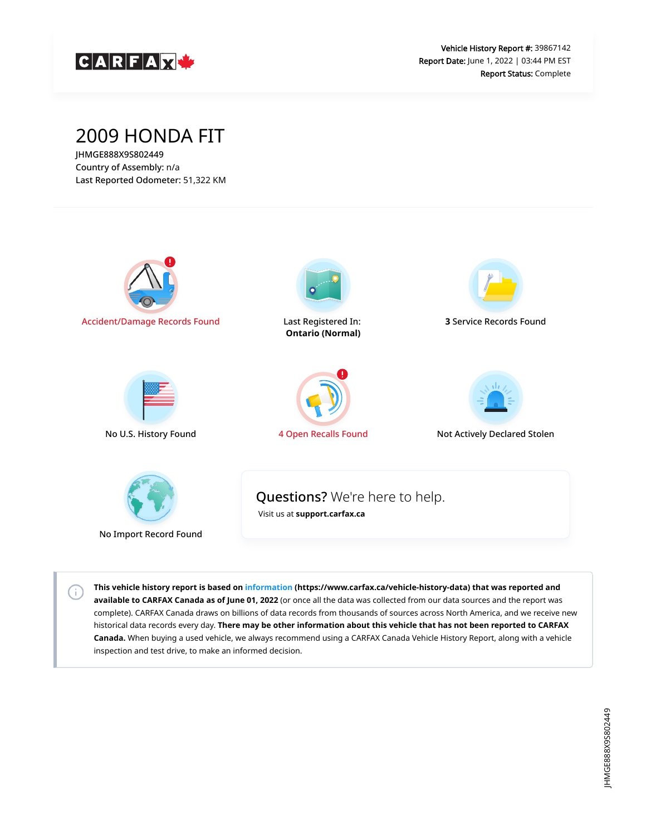

## 2009 HONDA FIT

JHMGE888X9S802449 Country of Assembly: n/a Last Reported Odometer: 51,322 KM

 $\left( \left. \cdot \right) \right)$ 



**This vehicle history report is based on [information](https://www.carfax.ca/vehicle-history-data) (https://www.carfax.ca/vehicle-history-data) that was reported and available to CARFAX Canada as of June 01, 2022** (or once all the data was collected from our data sources and the report was complete). CARFAX Canada draws on billions of data records from thousands of sources across North America, and we receive new historical data records every day. **There may be other information about this vehicle that has not been reported to CARFAX Canada.** When buying a used vehicle, we always recommend using a CARFAX Canada Vehicle History Report, along with a vehicle inspection and test drive, to make an informed decision.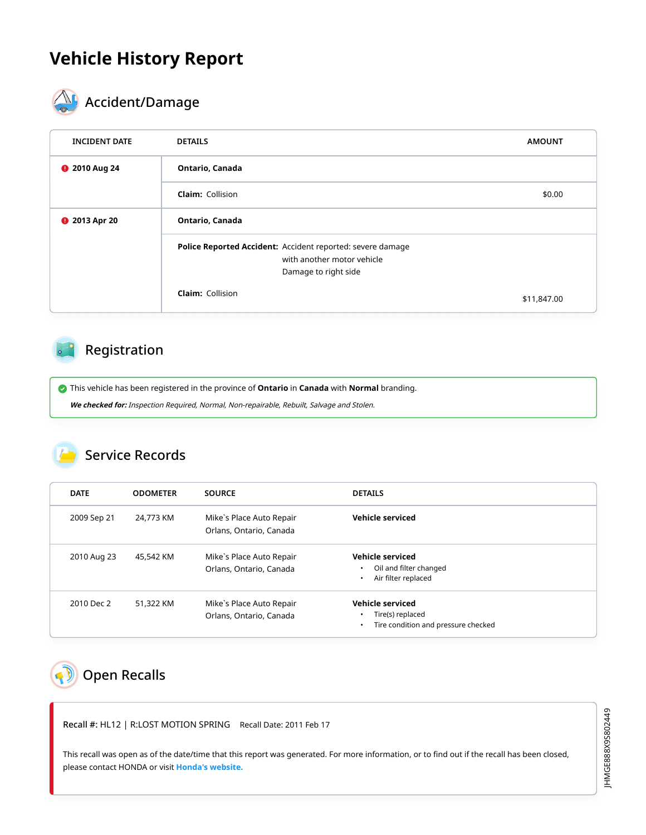## **Vehicle History Report**



# $\mathbf{A}_{\mathbf{F}}$  Accident/Damage

| <b>INCIDENT DATE</b> | <b>DETAILS</b>                                                                                                   | <b>AMOUNT</b> |
|----------------------|------------------------------------------------------------------------------------------------------------------|---------------|
| <b>@</b> 2010 Aug 24 | Ontario, Canada                                                                                                  |               |
|                      | <b>Claim: Collision</b>                                                                                          | \$0.00        |
| <b>@</b> 2013 Apr 20 | Ontario, Canada                                                                                                  |               |
|                      | Police Reported Accident: Accident reported: severe damage<br>with another motor vehicle<br>Damage to right side |               |
|                      | <b>Claim: Collision</b>                                                                                          | \$11,847.00   |

### Registration

This vehicle has been registered in the province of **Ontario** in **Canada** with **Normal** branding.

**We checked for:** Inspection Required, Normal, Non-repairable, Rebuilt, Salvage and Stolen.

### Service Records

| <b>DATE</b> | <b>ODOMETER</b> | <b>SOURCE</b>                                       | <b>DETAILS</b>                                                              |
|-------------|-----------------|-----------------------------------------------------|-----------------------------------------------------------------------------|
| 2009 Sep 21 | 24,773 KM       | Mike's Place Auto Repair<br>Orlans, Ontario, Canada | Vehicle serviced                                                            |
| 2010 Aug 23 | 45,542 KM       | Mike's Place Auto Repair<br>Orlans, Ontario, Canada | <b>Vehicle serviced</b><br>Oil and filter changed<br>Air filter replaced    |
| 2010 Dec 2  | 51,322 KM       | Mike's Place Auto Repair<br>Orlans, Ontario, Canada | Vehicle serviced<br>Tire(s) replaced<br>Tire condition and pressure checked |

# <span id="page-1-0"></span>**D** Open Recalls

Recall #: HL12 | R:LOST MOTION SPRING Recall Date: 2011 Feb 17

This recall was open as of the date/time that this report was generated. For more information, or to find out if the recall has been closed, please contact HONDA or visit **[Honda's website.](http://www.honda.ca/recalls)**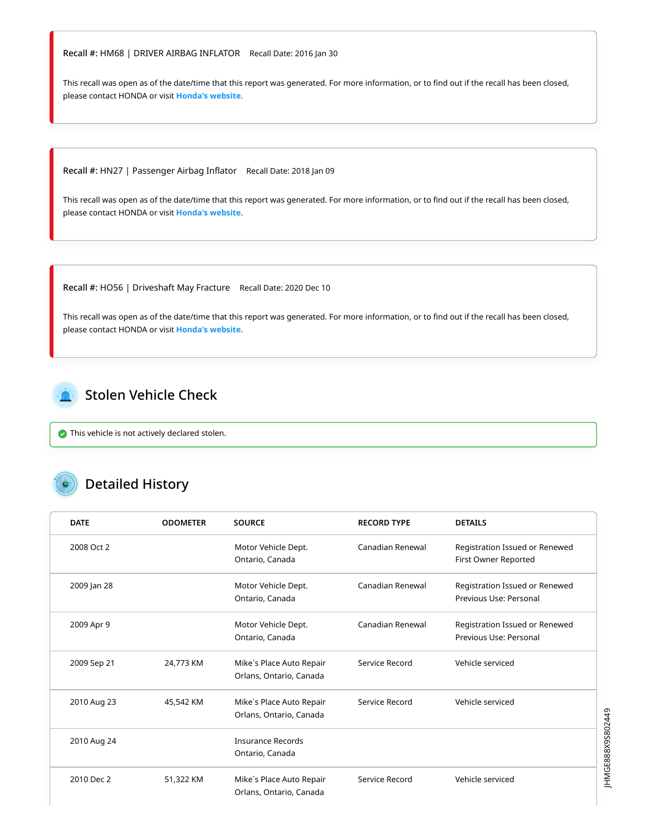#### Recall #: HM68 | DRIVER AIRBAG INFLATOR Recall Date: 2016 Jan 30

This recall was open as of the date/time that this report was generated. For more information, or to find out if the recall has been closed, please contact HONDA or visit **[Honda's website.](http://www.honda.ca/recalls)**

Recall #: HN27 | Passenger Airbag Inflator Recall Date: 2018 Jan 09

This recall was open as of the date/time that this report was generated. For more information, or to find out if the recall has been closed, please contact HONDA or visit **[Honda's website.](http://www.honda.ca/recalls)**

Recall #: HO56 | Driveshaft May Fracture Recall Date: 2020 Dec 10

This recall was open as of the date/time that this report was generated. For more information, or to find out if the recall has been closed, please contact HONDA or visit **[Honda's website.](http://www.honda.ca/recalls)**

<span id="page-2-0"></span>

 $\bullet$  This vehicle is not actively declared stolen.

### Detailed History

| <b>DATE</b> | <b>ODOMETER</b> | <b>SOURCE</b>                                       | <b>RECORD TYPE</b> | <b>DETAILS</b>                                           |
|-------------|-----------------|-----------------------------------------------------|--------------------|----------------------------------------------------------|
| 2008 Oct 2  |                 | Motor Vehicle Dept.<br>Ontario, Canada              | Canadian Renewal   | Registration Issued or Renewed<br>First Owner Reported   |
| 2009 Jan 28 |                 | Motor Vehicle Dept.<br>Ontario, Canada              | Canadian Renewal   | Registration Issued or Renewed<br>Previous Use: Personal |
| 2009 Apr 9  |                 | Motor Vehicle Dept.<br>Ontario, Canada              | Canadian Renewal   | Registration Issued or Renewed<br>Previous Use: Personal |
| 2009 Sep 21 | 24,773 KM       | Mike's Place Auto Repair<br>Orlans, Ontario, Canada | Service Record     | Vehicle serviced                                         |
| 2010 Aug 23 | 45,542 KM       | Mike's Place Auto Repair<br>Orlans, Ontario, Canada | Service Record     | Vehicle serviced                                         |
| 2010 Aug 24 |                 | <b>Insurance Records</b><br>Ontario, Canada         |                    |                                                          |
| 2010 Dec 2  | 51,322 KM       | Mike's Place Auto Repair<br>Orlans, Ontario, Canada | Service Record     | Vehicle serviced                                         |

JHMGE888X9S802449 JHMGE888X9S802449